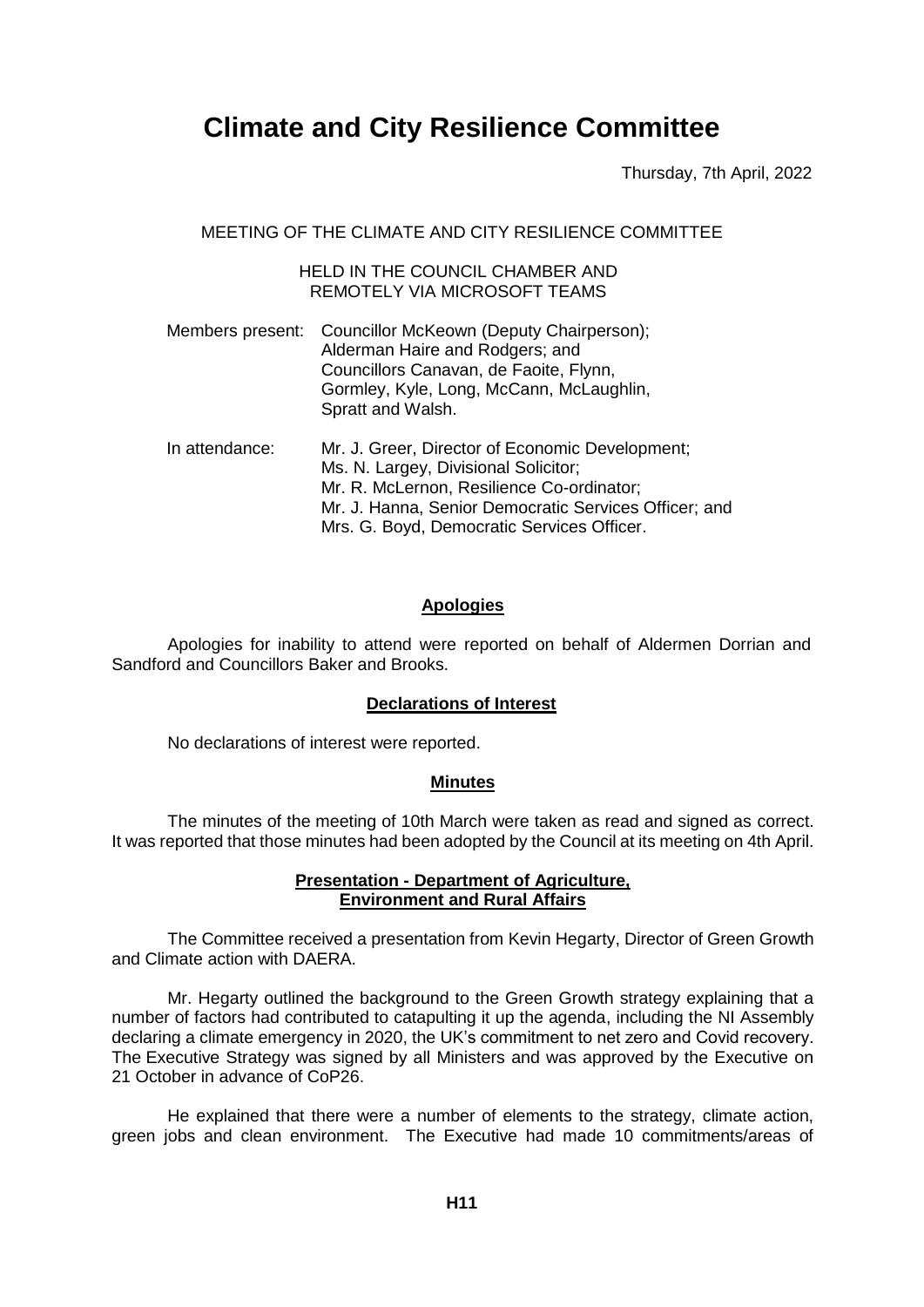# **Climate and City Resilience Committee**

Thursday, 7th April, 2022

MEETING OF THE CLIMATE AND CITY RESILIENCE COMMITTEE

## HELD IN THE COUNCIL CHAMBER AND REMOTELY VIA MICROSOFT TEAMS

- Members present: Councillor McKeown (Deputy Chairperson); Alderman Haire and Rodgers; and Councillors Canavan, de Faoite, Flynn, Gormley, Kyle, Long, McCann, McLaughlin, Spratt and Walsh. In attendance: Mr. J. Greer, Director of Economic Development; Ms. N. Largey, Divisional Solicitor: Mr. R. McLernon, Resilience Co-ordinator;
	- Mr. J. Hanna, Senior Democratic Services Officer; and Mrs. G. Boyd, Democratic Services Officer.

# **Apologies**

Apologies for inability to attend were reported on behalf of Aldermen Dorrian and Sandford and Councillors Baker and Brooks.

# **Declarations of Interest**

No declarations of interest were reported.

#### **Minutes**

The minutes of the meeting of 10th March were taken as read and signed as correct. It was reported that those minutes had been adopted by the Council at its meeting on 4th April.

#### **Presentation - Department of Agriculture, Environment and Rural Affairs**

The Committee received a presentation from Kevin Hegarty, Director of Green Growth and Climate action with DAERA.

Mr. Hegarty outlined the background to the Green Growth strategy explaining that a number of factors had contributed to catapulting it up the agenda, including the NI Assembly declaring a climate emergency in 2020, the UK's commitment to net zero and Covid recovery. The Executive Strategy was signed by all Ministers and was approved by the Executive on 21 October in advance of CoP26.

He explained that there were a number of elements to the strategy, climate action, green jobs and clean environment. The Executive had made 10 commitments/areas of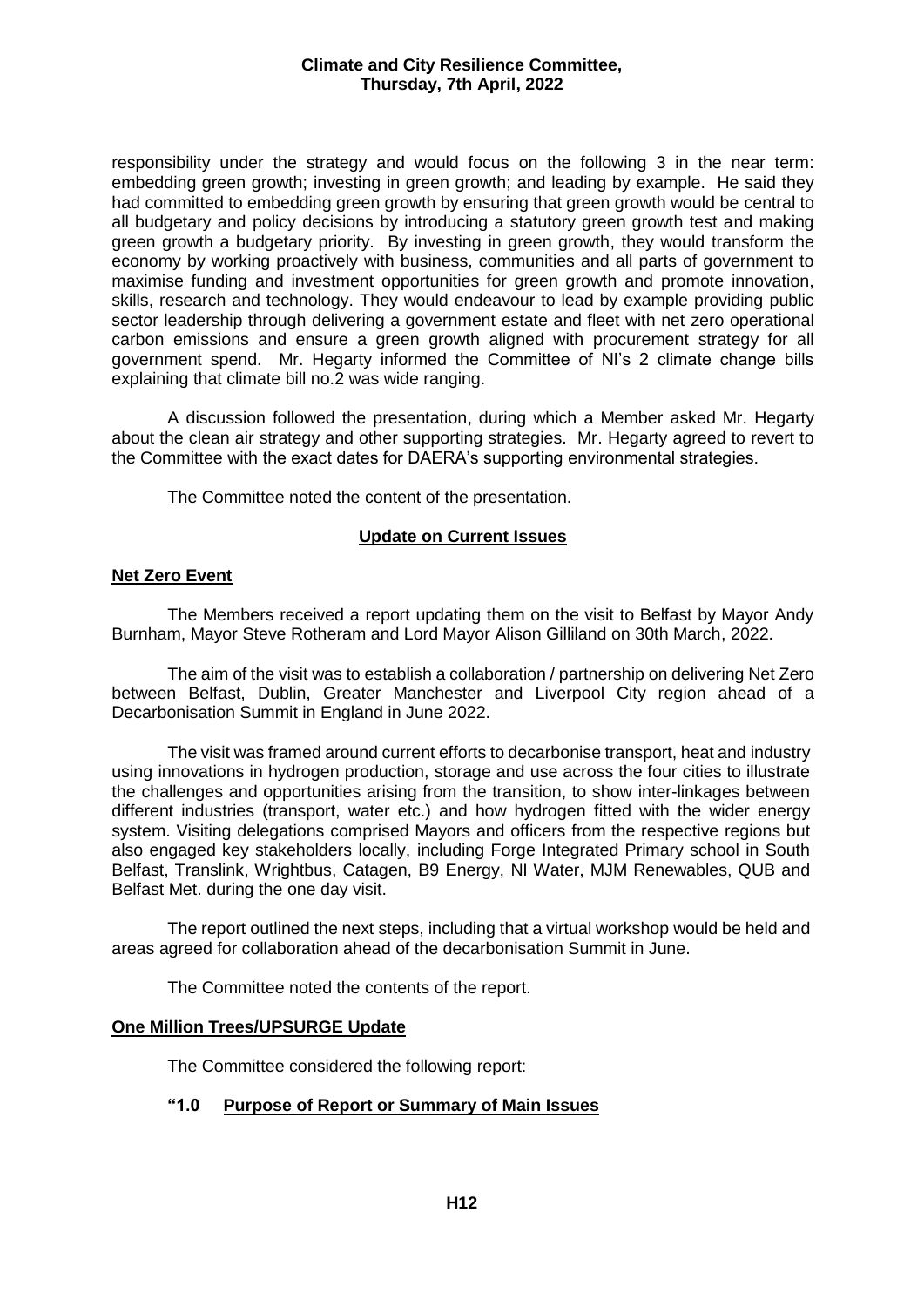#### **Climate and City Resilience Committee, Thursday, 7th April, 2022**

responsibility under the strategy and would focus on the following 3 in the near term: embedding green growth; investing in green growth; and leading by example. He said they had committed to embedding green growth by ensuring that green growth would be central to all budgetary and policy decisions by introducing a statutory green growth test and making green growth a budgetary priority. By investing in green growth, they would transform the economy by working proactively with business, communities and all parts of government to maximise funding and investment opportunities for green growth and promote innovation, skills, research and technology. They would endeavour to lead by example providing public sector leadership through delivering a government estate and fleet with net zero operational carbon emissions and ensure a green growth aligned with procurement strategy for all government spend. Mr. Hegarty informed the Committee of NI's 2 climate change bills explaining that climate bill no.2 was wide ranging.

A discussion followed the presentation, during which a Member asked Mr. Hegarty about the clean air strategy and other supporting strategies. Mr. Hegarty agreed to revert to the Committee with the exact dates for DAERA's supporting environmental strategies.

The Committee noted the content of the presentation.

#### **Update on Current Issues**

## **Net Zero Event**

The Members received a report updating them on the visit to Belfast by Mayor Andy Burnham, Mayor Steve Rotheram and Lord Mayor Alison Gilliland on 30th March, 2022.

The aim of the visit was to establish a collaboration / partnership on delivering Net Zero between Belfast, Dublin, Greater Manchester and Liverpool City region ahead of a Decarbonisation Summit in England in June 2022.

The visit was framed around current efforts to decarbonise transport, heat and industry using innovations in hydrogen production, storage and use across the four cities to illustrate the challenges and opportunities arising from the transition, to show inter-linkages between different industries (transport, water etc.) and how hydrogen fitted with the wider energy system. Visiting delegations comprised Mayors and officers from the respective regions but also engaged key stakeholders locally, including Forge Integrated Primary school in South Belfast, Translink, Wrightbus, Catagen, B9 Energy, NI Water, MJM Renewables, QUB and Belfast Met. during the one day visit.

The report outlined the next steps, including that a virtual workshop would be held and areas agreed for collaboration ahead of the decarbonisation Summit in June.

The Committee noted the contents of the report.

#### **One Million Trees/UPSURGE Update**

The Committee considered the following report:

# **"1.0 Purpose of Report or Summary of Main Issues**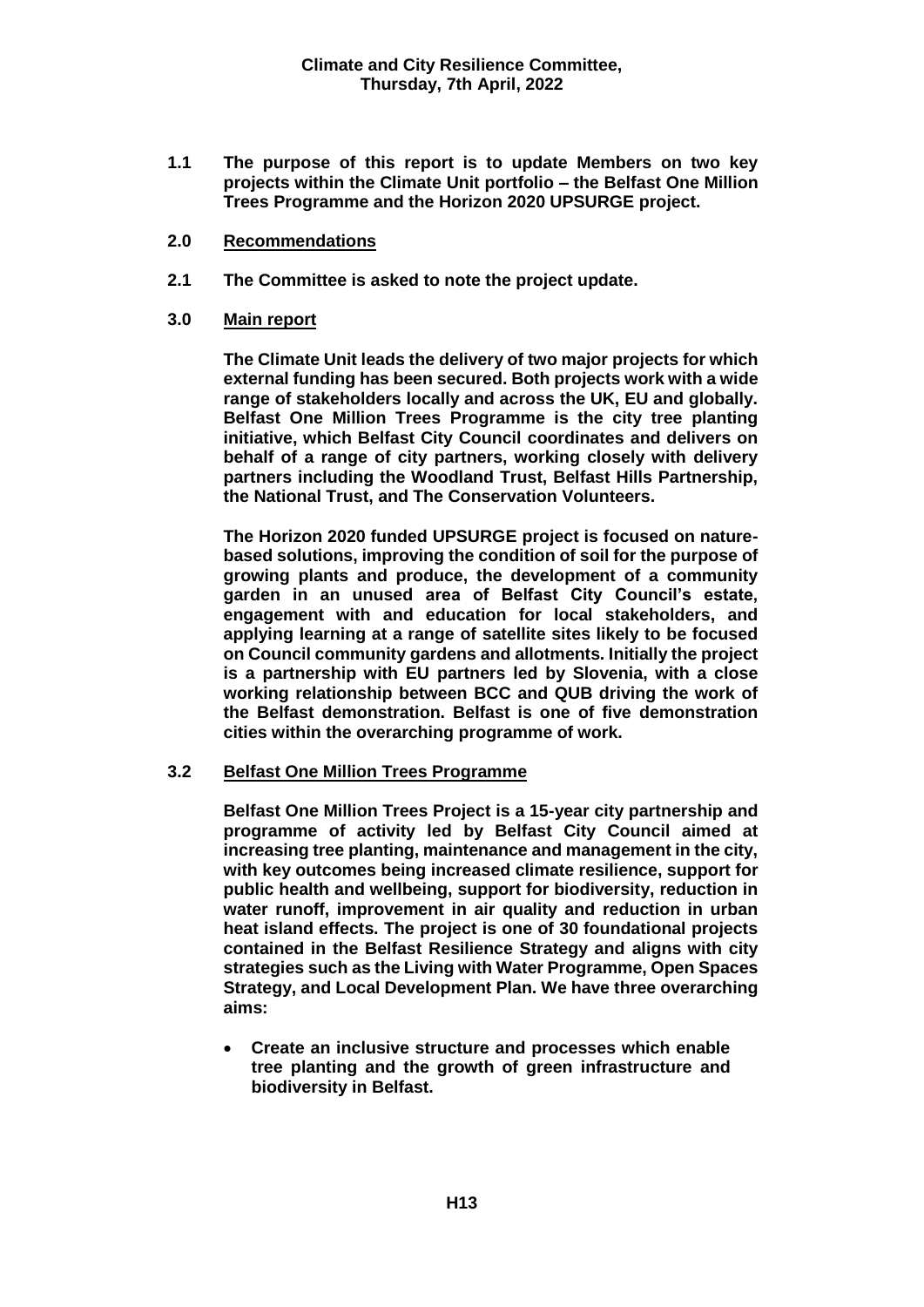- **1.1 The purpose of this report is to update Members on two key projects within the Climate Unit portfolio – the Belfast One Million Trees Programme and the Horizon 2020 UPSURGE project.**
- **2.0 Recommendations**
- **2.1 The Committee is asked to note the project update.**

#### **3.0 Main report**

**The Climate Unit leads the delivery of two major projects for which external funding has been secured. Both projects work with a wide range of stakeholders locally and across the UK, EU and globally. Belfast One Million Trees Programme is the city tree planting initiative, which Belfast City Council coordinates and delivers on behalf of a range of city partners, working closely with delivery partners including the Woodland Trust, Belfast Hills Partnership, the National Trust, and The Conservation Volunteers.** 

**The Horizon 2020 funded UPSURGE project is focused on naturebased solutions, improving the condition of soil for the purpose of growing plants and produce, the development of a community garden in an unused area of Belfast City Council's estate, engagement with and education for local stakeholders, and applying learning at a range of satellite sites likely to be focused on Council community gardens and allotments. Initially the project is a partnership with EU partners led by Slovenia, with a close working relationship between BCC and QUB driving the work of the Belfast demonstration. Belfast is one of five demonstration cities within the overarching programme of work.** 

#### **3.2 Belfast One Million Trees Programme**

**Belfast One Million Trees Project is a 15-year city partnership and programme of activity led by Belfast City Council aimed at increasing tree planting, maintenance and management in the city, with key outcomes being increased climate resilience, support for public health and wellbeing, support for biodiversity, reduction in water runoff, improvement in air quality and reduction in urban heat island effects. The project is one of 30 foundational projects contained in the Belfast Resilience Strategy and aligns with city strategies such as the Living with Water Programme, Open Spaces Strategy, and Local Development Plan. We have three overarching aims:**

 **Create an inclusive structure and processes which enable tree planting and the growth of green infrastructure and biodiversity in Belfast.**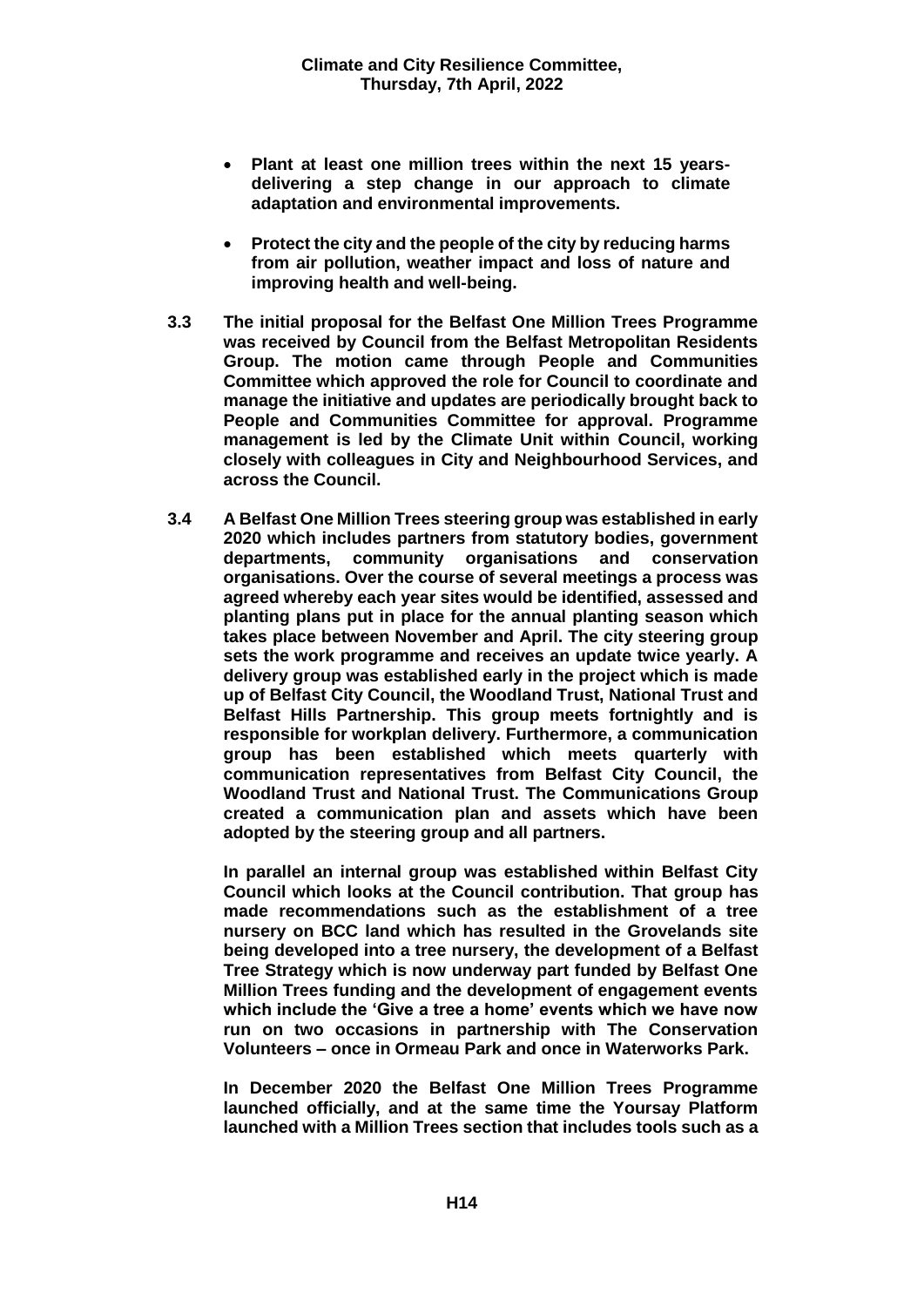- **Plant at least one million trees within the next 15 yearsdelivering a step change in our approach to climate adaptation and environmental improvements.**
- **Protect the city and the people of the city by reducing harms from air pollution, weather impact and loss of nature and improving health and well-being.**
- **3.3 The initial proposal for the Belfast One Million Trees Programme was received by Council from the Belfast Metropolitan Residents Group. The motion came through People and Communities Committee which approved the role for Council to coordinate and manage the initiative and updates are periodically brought back to People and Communities Committee for approval. Programme management is led by the Climate Unit within Council, working closely with colleagues in City and Neighbourhood Services, and across the Council.**
- **3.4 A Belfast One Million Trees steering group was established in early 2020 which includes partners from statutory bodies, government departments, community organisations and conservation organisations. Over the course of several meetings a process was agreed whereby each year sites would be identified, assessed and planting plans put in place for the annual planting season which takes place between November and April. The city steering group sets the work programme and receives an update twice yearly. A delivery group was established early in the project which is made up of Belfast City Council, the Woodland Trust, National Trust and Belfast Hills Partnership. This group meets fortnightly and is responsible for workplan delivery. Furthermore, a communication group has been established which meets quarterly with communication representatives from Belfast City Council, the Woodland Trust and National Trust. The Communications Group created a communication plan and assets which have been adopted by the steering group and all partners.**

**In parallel an internal group was established within Belfast City Council which looks at the Council contribution. That group has made recommendations such as the establishment of a tree nursery on BCC land which has resulted in the Grovelands site being developed into a tree nursery, the development of a Belfast Tree Strategy which is now underway part funded by Belfast One Million Trees funding and the development of engagement events which include the 'Give a tree a home' events which we have now run on two occasions in partnership with The Conservation Volunteers – once in Ormeau Park and once in Waterworks Park.** 

**In December 2020 the Belfast One Million Trees Programme launched officially, and at the same time the Yoursay Platform launched with a Million Trees section that includes tools such as a**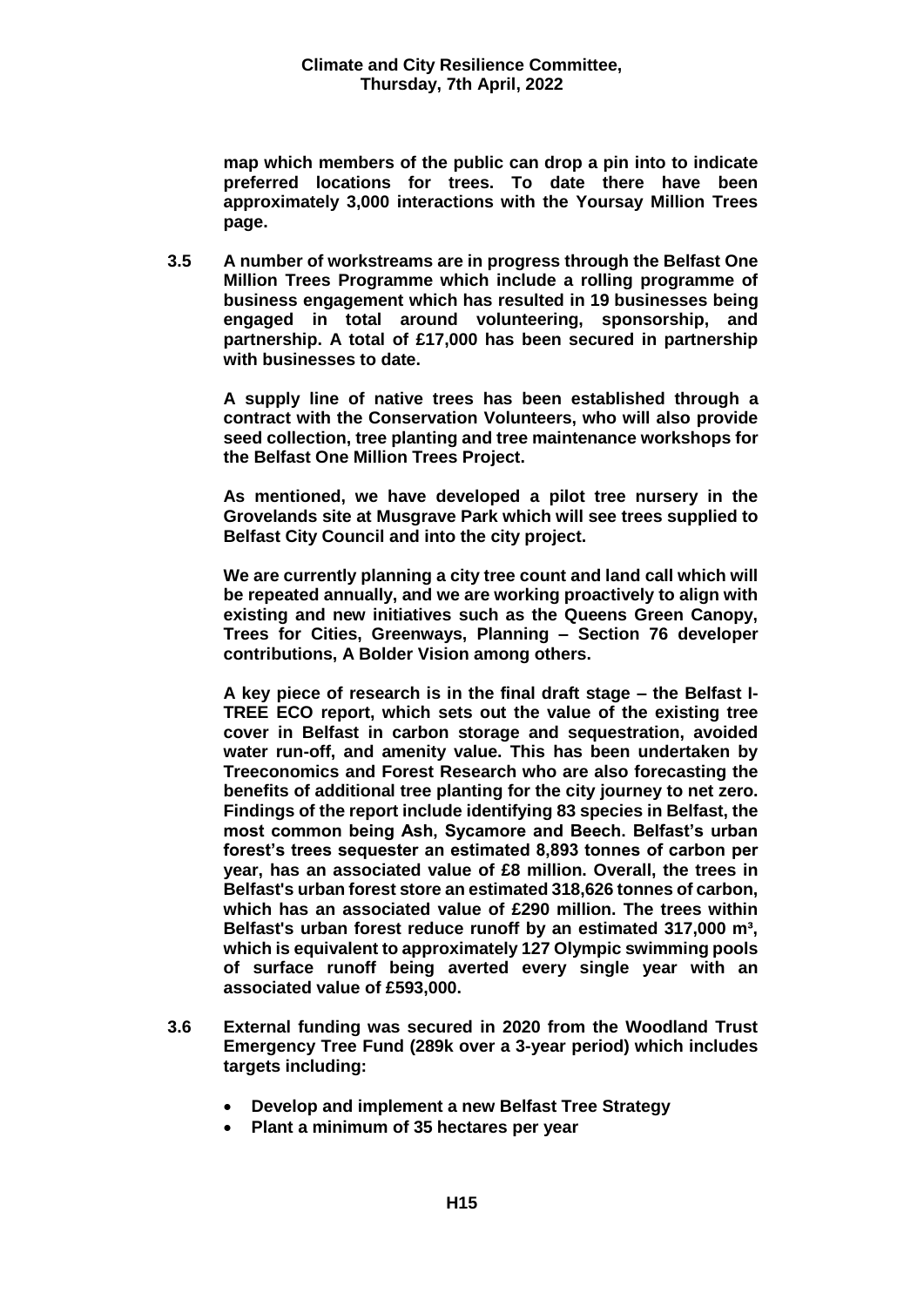**map which members of the public can drop a pin into to indicate preferred locations for trees. To date there have been approximately 3,000 interactions with the Yoursay Million Trees page.** 

**3.5 A number of workstreams are in progress through the Belfast One Million Trees Programme which include a rolling programme of business engagement which has resulted in 19 businesses being engaged in total around volunteering, sponsorship, and partnership. A total of £17,000 has been secured in partnership with businesses to date.** 

**A supply line of native trees has been established through a contract with the Conservation Volunteers, who will also provide seed collection, tree planting and tree maintenance workshops for the Belfast One Million Trees Project.** 

**As mentioned, we have developed a pilot tree nursery in the Grovelands site at Musgrave Park which will see trees supplied to Belfast City Council and into the city project.** 

**We are currently planning a city tree count and land call which will be repeated annually, and we are working proactively to align with existing and new initiatives such as the Queens Green Canopy, Trees for Cities, Greenways, Planning – Section 76 developer contributions, A Bolder Vision among others.** 

**A key piece of research is in the final draft stage – the Belfast I-TREE ECO report, which sets out the value of the existing tree cover in Belfast in carbon storage and sequestration, avoided water run-off, and amenity value. This has been undertaken by Treeconomics and Forest Research who are also forecasting the benefits of additional tree planting for the city journey to net zero. Findings of the report include identifying 83 species in Belfast, the most common being Ash, Sycamore and Beech. Belfast's urban forest's trees sequester an estimated 8,893 tonnes of carbon per year, has an associated value of £8 million. Overall, the trees in Belfast's urban forest store an estimated 318,626 tonnes of carbon, which has an associated value of £290 million. The trees within Belfast's urban forest reduce runoff by an estimated 317,000 m³, which is equivalent to approximately 127 Olympic swimming pools of surface runoff being averted every single year with an associated value of £593,000.**

- **3.6 External funding was secured in 2020 from the Woodland Trust Emergency Tree Fund (289k over a 3-year period) which includes targets including:**
	- **Develop and implement a new Belfast Tree Strategy**
	- **Plant a minimum of 35 hectares per year**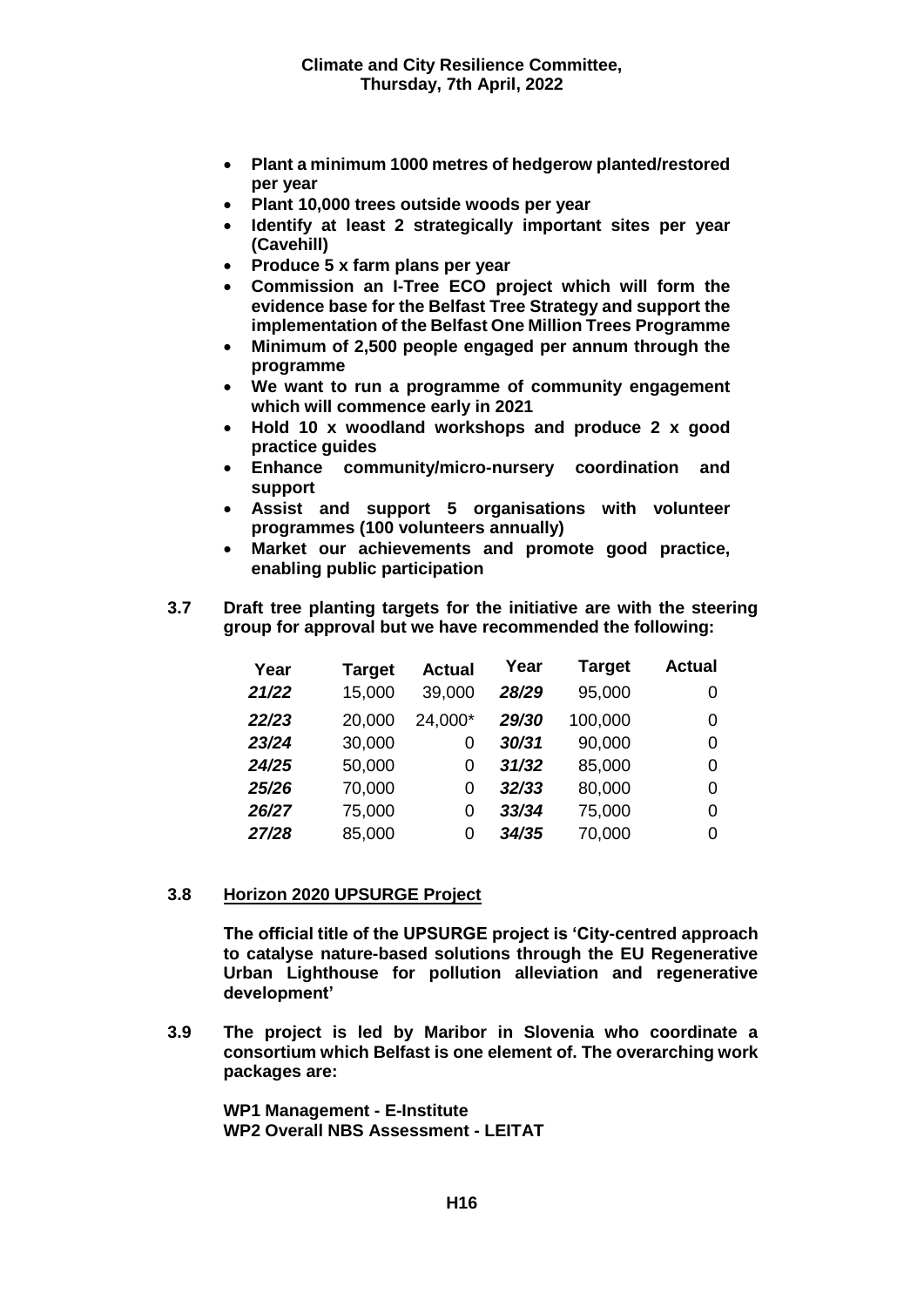- **Plant a minimum 1000 metres of hedgerow planted/restored per year**
- **Plant 10,000 trees outside woods per year**
- **Identify at least 2 strategically important sites per year (Cavehill)**
- **Produce 5 x farm plans per year**
- **Commission an I-Tree ECO project which will form the evidence base for the Belfast Tree Strategy and support the implementation of the Belfast One Million Trees Programme**
- **Minimum of 2,500 people engaged per annum through the programme**
- **We want to run a programme of community engagement which will commence early in 2021**
- **Hold 10 x woodland workshops and produce 2 x good practice guides**
- **Enhance community/micro-nursery coordination and support**
- **Assist and support 5 organisations with volunteer programmes (100 volunteers annually)**
- **Market our achievements and promote good practice, enabling public participation**
- **3.7 Draft tree planting targets for the initiative are with the steering group for approval but we have recommended the following:**

| Year  | <b>Target</b> | <b>Actual</b> | Year  | <b>Target</b> | <b>Actual</b> |
|-------|---------------|---------------|-------|---------------|---------------|
| 21/22 | 15,000        | 39,000        | 28/29 | 95,000        | 0             |
| 22/23 | 20,000        | 24,000*       | 29/30 | 100,000       | 0             |
| 23/24 | 30,000        | 0             | 30/31 | 90,000        | 0             |
| 24/25 | 50,000        | 0             | 31/32 | 85,000        | 0             |
| 25/26 | 70,000        | 0             | 32/33 | 80,000        | 0             |
| 26/27 | 75,000        | 0             | 33/34 | 75,000        | 0             |
| 27/28 | 85,000        | 0             | 34/35 | 70,000        | 0             |

#### **3.8 Horizon 2020 UPSURGE Project**

**The official title of the UPSURGE project is 'City-centred approach to catalyse nature-based solutions through the EU Regenerative Urban Lighthouse for pollution alleviation and regenerative development'**

**3.9 The project is led by Maribor in Slovenia who coordinate a consortium which Belfast is one element of. The overarching work packages are:**

**WP1 Management - E-Institute WP2 Overall NBS Assessment - LEITAT**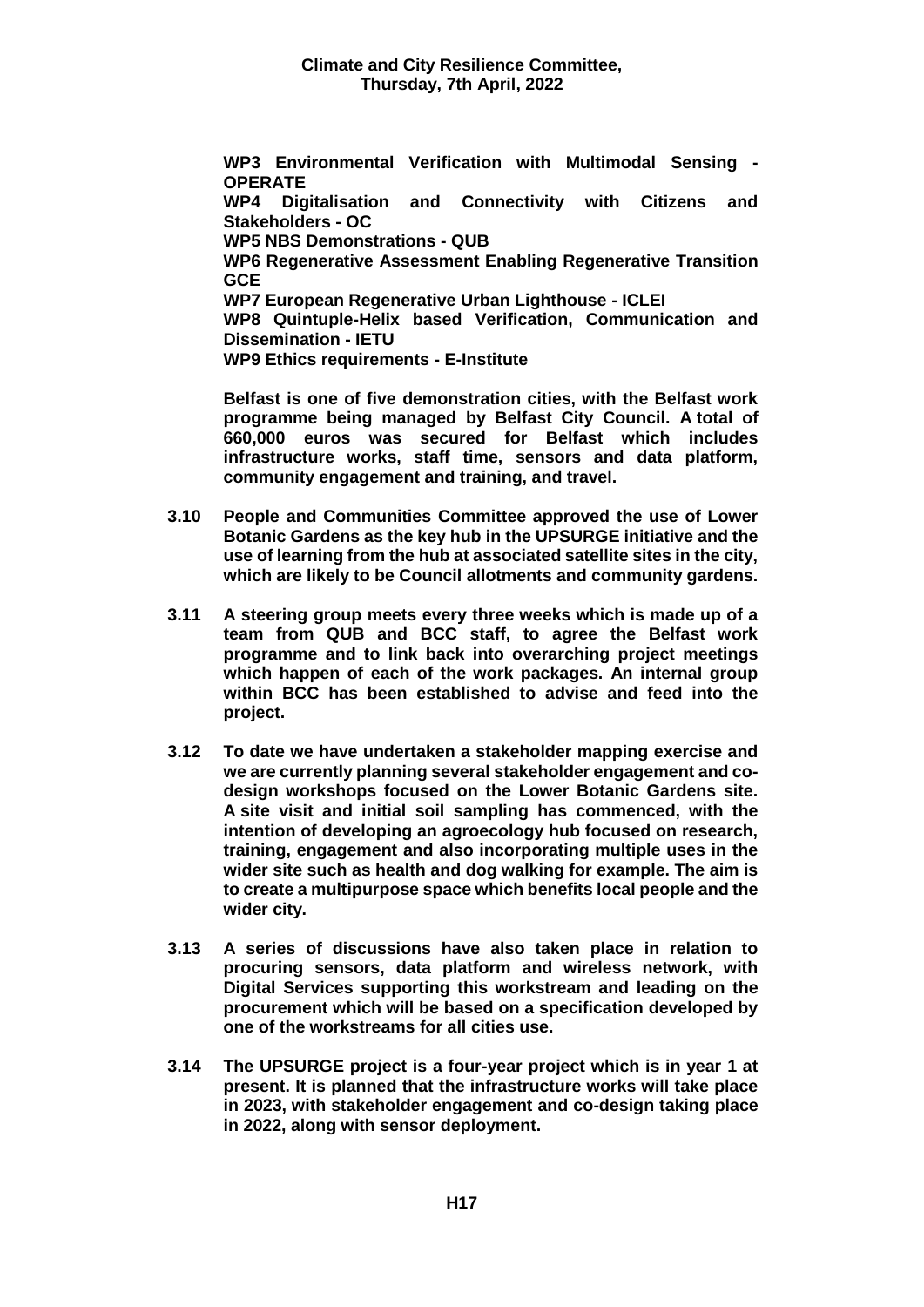**WP3 Environmental Verification with Multimodal Sensing - OPERATE** 

**WP4 Digitalisation and Connectivity with Citizens and Stakeholders - OC** 

**WP5 NBS Demonstrations - QUB** 

**WP6 Regenerative Assessment Enabling Regenerative Transition GCE** 

**WP7 European Regenerative Urban Lighthouse - ICLEI** 

**WP8 Quintuple-Helix based Verification, Communication and Dissemination - IETU** 

**WP9 Ethics requirements - E-Institute** 

**Belfast is one of five demonstration cities, with the Belfast work programme being managed by Belfast City Council. A total of 660,000 euros was secured for Belfast which includes infrastructure works, staff time, sensors and data platform, community engagement and training, and travel.** 

- **3.10 People and Communities Committee approved the use of Lower Botanic Gardens as the key hub in the UPSURGE initiative and the use of learning from the hub at associated satellite sites in the city, which are likely to be Council allotments and community gardens.**
- **3.11 A steering group meets every three weeks which is made up of a team from QUB and BCC staff, to agree the Belfast work programme and to link back into overarching project meetings which happen of each of the work packages. An internal group within BCC has been established to advise and feed into the project.**
- **3.12 To date we have undertaken a stakeholder mapping exercise and we are currently planning several stakeholder engagement and codesign workshops focused on the Lower Botanic Gardens site. A site visit and initial soil sampling has commenced, with the intention of developing an agroecology hub focused on research, training, engagement and also incorporating multiple uses in the wider site such as health and dog walking for example. The aim is to create a multipurpose space which benefits local people and the wider city.**
- **3.13 A series of discussions have also taken place in relation to procuring sensors, data platform and wireless network, with Digital Services supporting this workstream and leading on the procurement which will be based on a specification developed by one of the workstreams for all cities use.**
- **3.14 The UPSURGE project is a four-year project which is in year 1 at present. It is planned that the infrastructure works will take place in 2023, with stakeholder engagement and co-design taking place in 2022, along with sensor deployment.**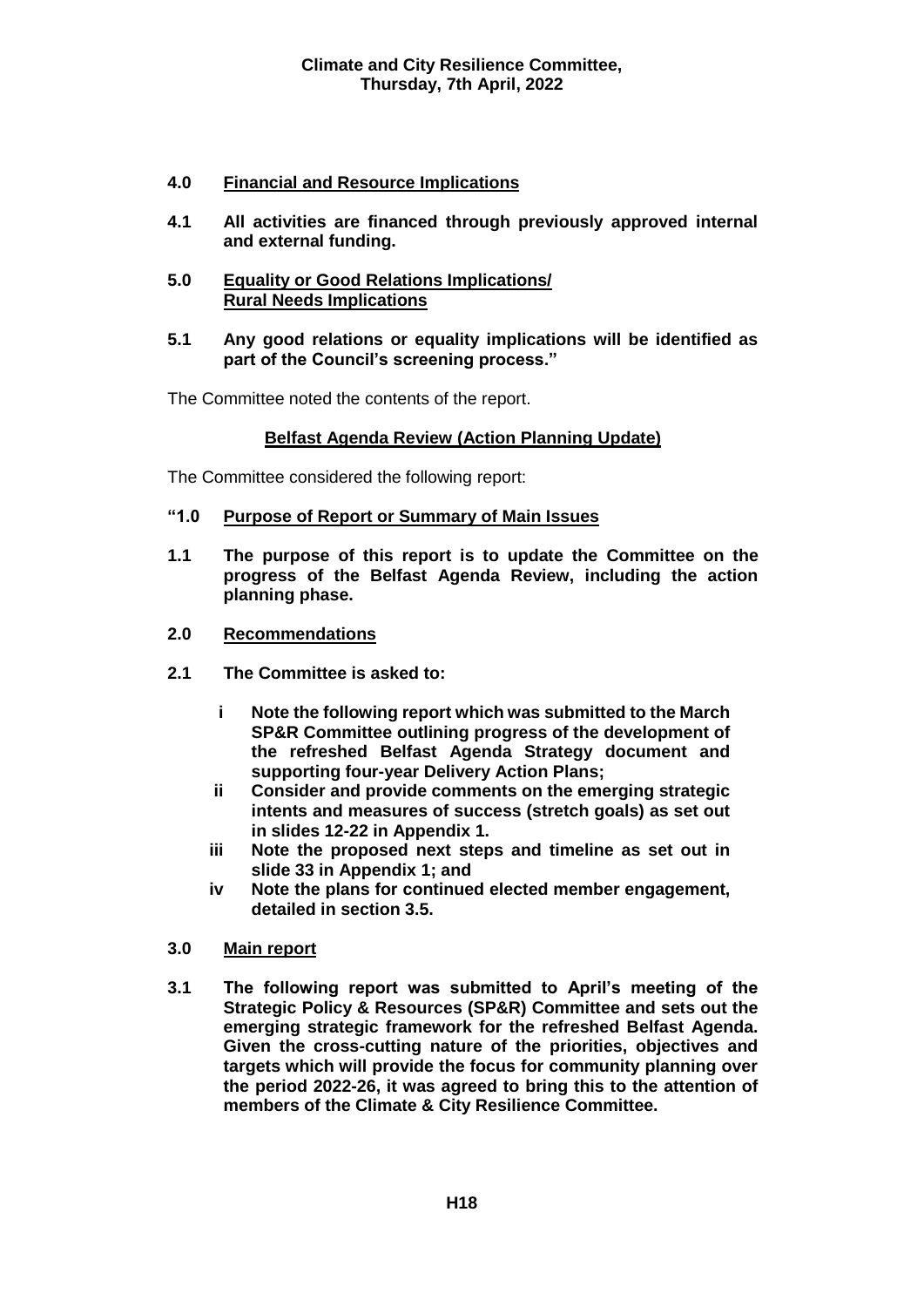# **4.0 Financial and Resource Implications**

- **4.1 All activities are financed through previously approved internal and external funding.**
- **5.0 Equality or Good Relations Implications/ Rural Needs Implications**
- **5.1 Any good relations or equality implications will be identified as part of the Council's screening process."**
- The Committee noted the contents of the report.

## **Belfast Agenda Review (Action Planning Update)**

The Committee considered the following report:

- **"1.0 Purpose of Report or Summary of Main Issues**
- **1.1 The purpose of this report is to update the Committee on the progress of the Belfast Agenda Review, including the action planning phase.**
- **2.0 Recommendations**
- **2.1 The Committee is asked to:**
	- **i Note the following report which was submitted to the March SP&R Committee outlining progress of the development of the refreshed Belfast Agenda Strategy document and supporting four-year Delivery Action Plans;**
	- **ii Consider and provide comments on the emerging strategic intents and measures of success (stretch goals) as set out in slides 12-22 in Appendix 1.**
	- **iii Note the proposed next steps and timeline as set out in slide 33 in Appendix 1; and**
	- **iv Note the plans for continued elected member engagement, detailed in section 3.5.**

#### **3.0 Main report**

**3.1 The following report was submitted to April's meeting of the Strategic Policy & Resources (SP&R) Committee and sets out the emerging strategic framework for the refreshed Belfast Agenda. Given the cross-cutting nature of the priorities, objectives and targets which will provide the focus for community planning over the period 2022-26, it was agreed to bring this to the attention of members of the Climate & City Resilience Committee.**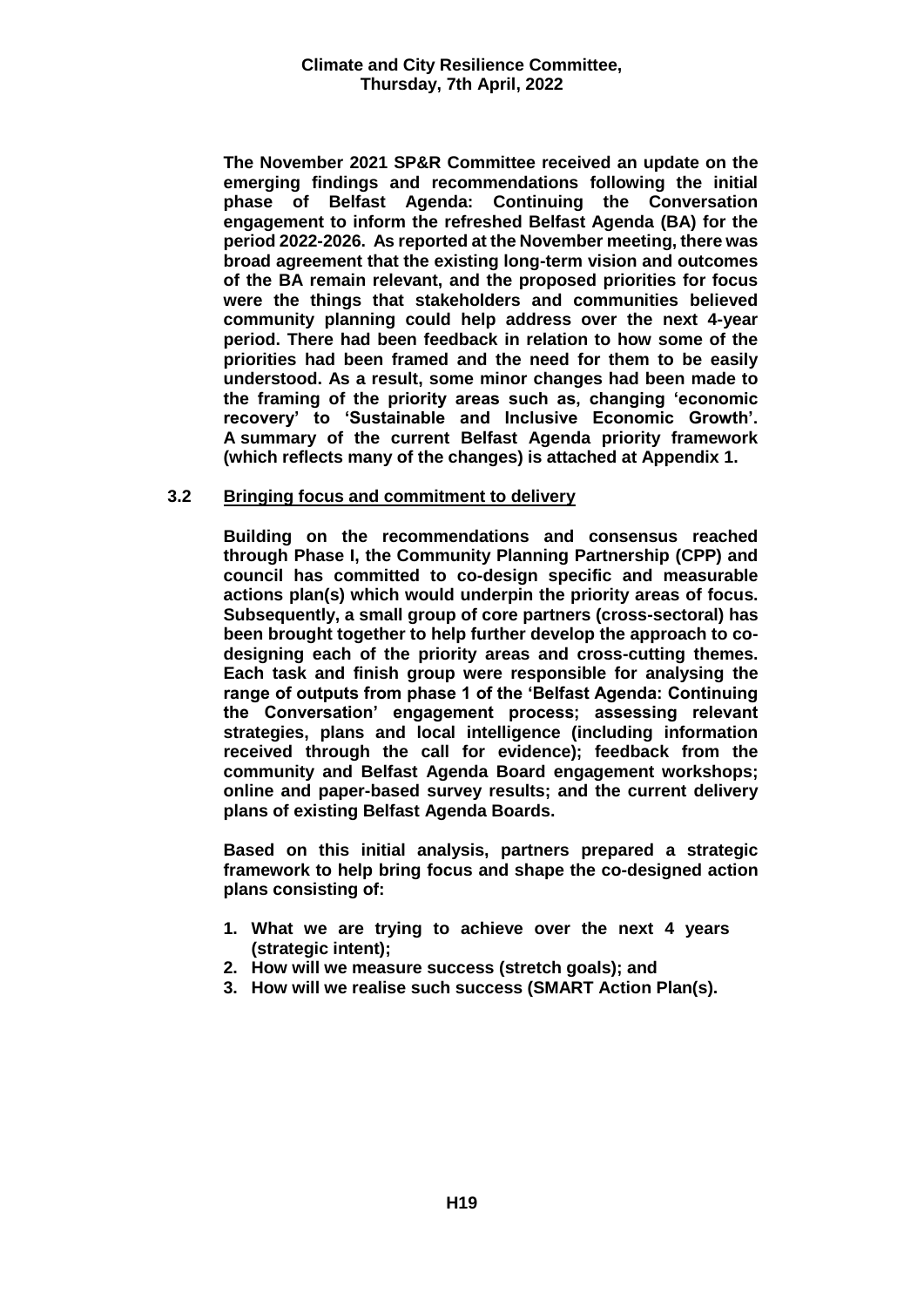**The November 2021 SP&R Committee received an update on the emerging findings and recommendations following the initial phase of Belfast Agenda: Continuing the Conversation engagement to inform the refreshed Belfast Agenda (BA) for the period 2022-2026. As reported at the November meeting, there was broad agreement that the existing long-term vision and outcomes of the BA remain relevant, and the proposed priorities for focus were the things that stakeholders and communities believed community planning could help address over the next 4-year period. There had been feedback in relation to how some of the priorities had been framed and the need for them to be easily understood. As a result, some minor changes had been made to the framing of the priority areas such as, changing 'economic recovery' to 'Sustainable and Inclusive Economic Growth'. A summary of the current Belfast Agenda priority framework (which reflects many of the changes) is attached at Appendix 1.** 

#### **3.2 Bringing focus and commitment to delivery**

**Building on the recommendations and consensus reached through Phase I, the Community Planning Partnership (CPP) and council has committed to co-design specific and measurable actions plan(s) which would underpin the priority areas of focus. Subsequently, a small group of core partners (cross-sectoral) has been brought together to help further develop the approach to codesigning each of the priority areas and cross-cutting themes. Each task and finish group were responsible for analysing the range of outputs from phase 1 of the 'Belfast Agenda: Continuing the Conversation' engagement process; assessing relevant strategies, plans and local intelligence (including information received through the call for evidence); feedback from the community and Belfast Agenda Board engagement workshops; online and paper-based survey results; and the current delivery plans of existing Belfast Agenda Boards.** 

**Based on this initial analysis, partners prepared a strategic framework to help bring focus and shape the co-designed action plans consisting of:**

- **1. What we are trying to achieve over the next 4 years (strategic intent);**
- **2. How will we measure success (stretch goals); and**
- **3. How will we realise such success (SMART Action Plan(s).**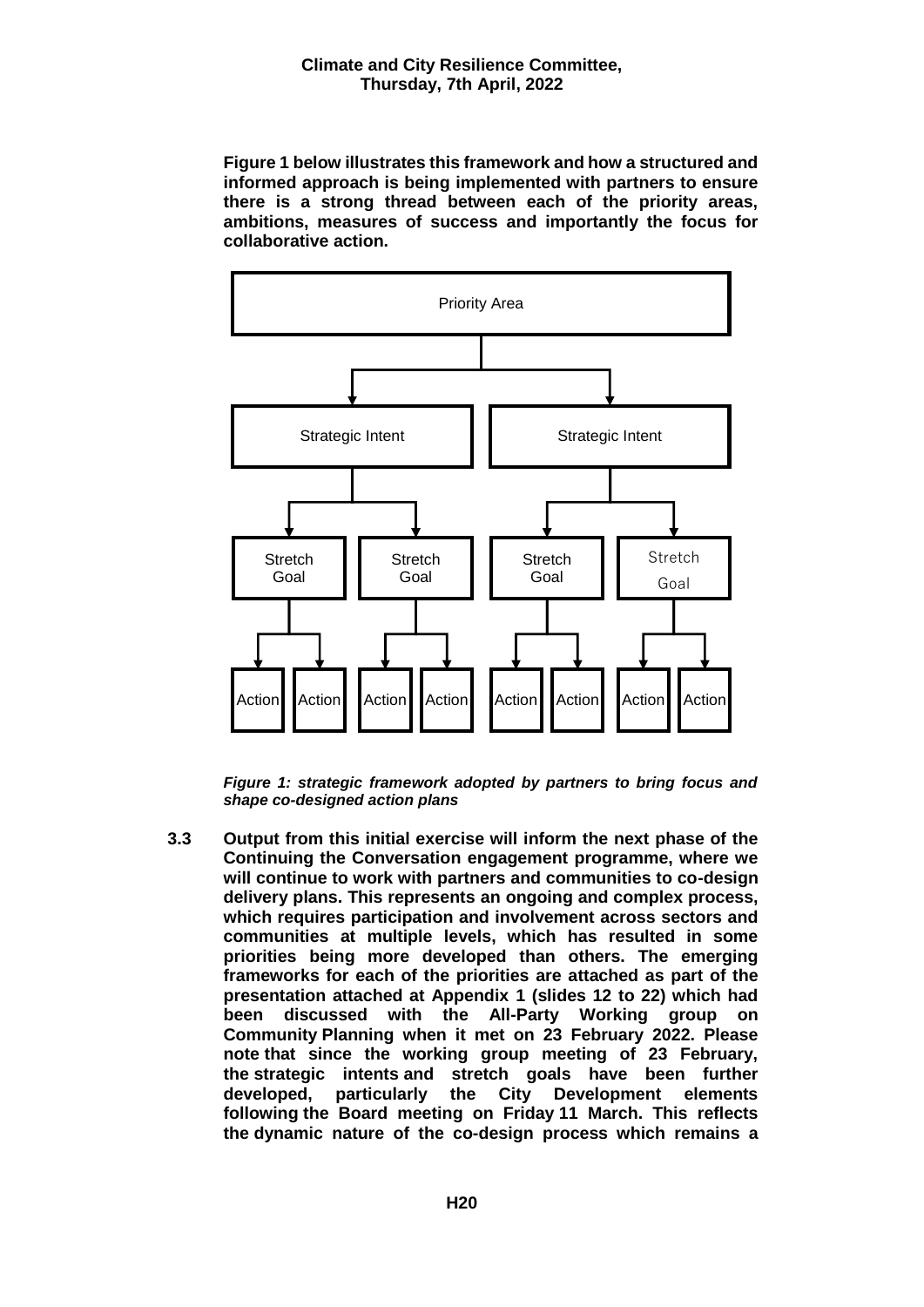**Figure 1 below illustrates this framework and how a structured and informed approach is being implemented with partners to ensure there is a strong thread between each of the priority areas, ambitions, measures of success and importantly the focus for collaborative action.**



*Figure 1: strategic framework adopted by partners to bring focus and shape co-designed action plans*

**3.3 Output from this initial exercise will inform the next phase of the Continuing the Conversation engagement programme, where we will continue to work with partners and communities to co-design delivery plans. This represents an ongoing and complex process, which requires participation and involvement across sectors and communities at multiple levels, which has resulted in some priorities being more developed than others. The emerging frameworks for each of the priorities are attached as part of the presentation attached at Appendix 1 (slides 12 to 22) which had been discussed with the All-Party Working group on Community Planning when it met on 23 February 2022. Please note that since the working group meeting of 23 February, the strategic intents and stretch goals have been further developed, particularly the City Development elements following the Board meeting on Friday 11 March. This reflects the dynamic nature of the co-design process which remains a**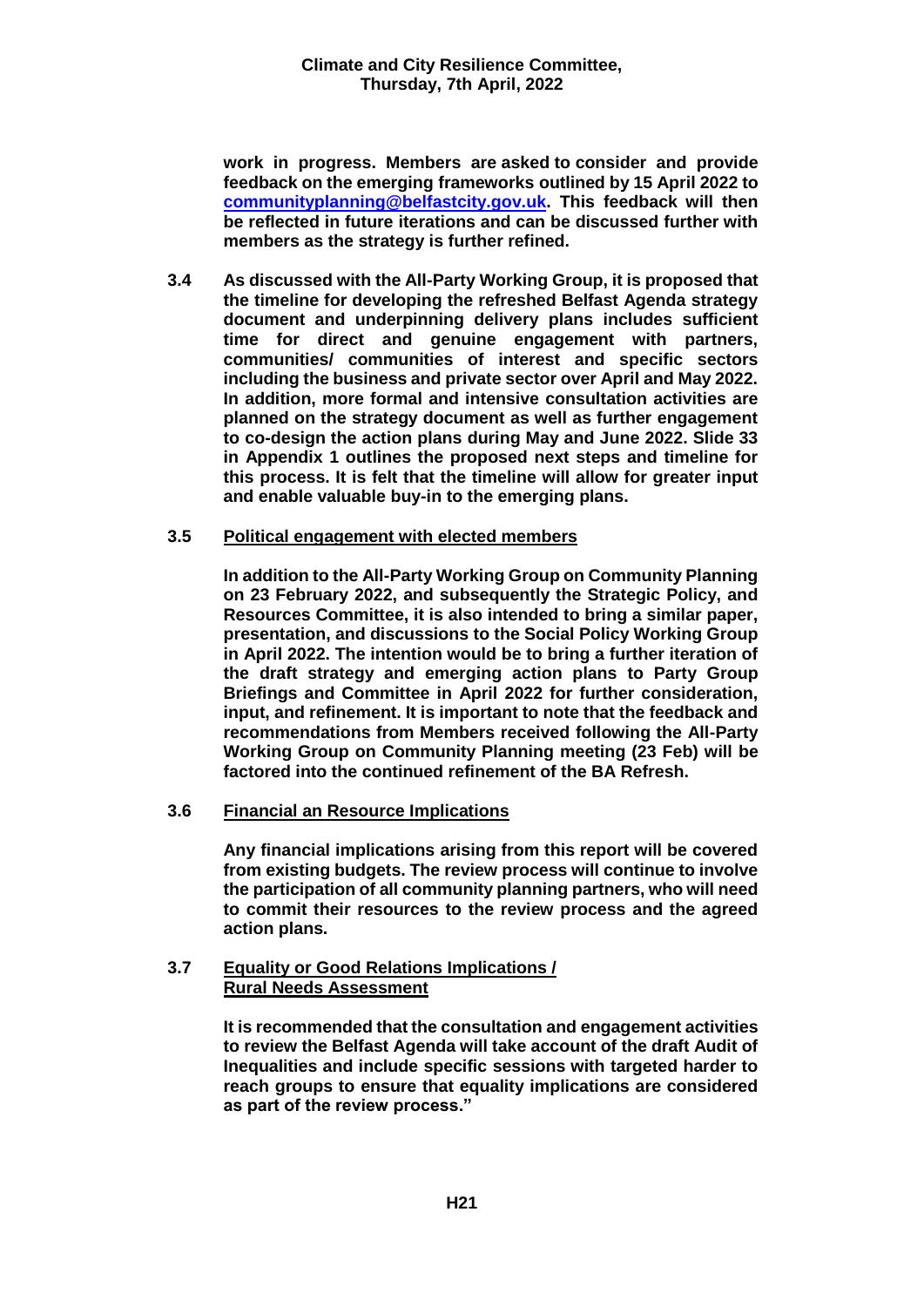**work in progress. Members are asked to consider and provide feedback on the emerging frameworks outlined by 15 April 2022 to [communityplanning@belfastcity.gov.uk.](mailto:communityplanning@belfastcity.gov.uk) This feedback will then be reflected in future iterations and can be discussed further with members as the strategy is further refined.**

**3.4 As discussed with the All-Party Working Group, it is proposed that the timeline for developing the refreshed Belfast Agenda strategy document and underpinning delivery plans includes sufficient time for direct and genuine engagement with partners, communities/ communities of interest and specific sectors including the business and private sector over April and May 2022. In addition, more formal and intensive consultation activities are planned on the strategy document as well as further engagement to co-design the action plans during May and June 2022. Slide 33 in Appendix 1 outlines the proposed next steps and timeline for this process. It is felt that the timeline will allow for greater input and enable valuable buy-in to the emerging plans.**

## **3.5 Political engagement with elected members**

**In addition to the All-Party Working Group on Community Planning on 23 February 2022, and subsequently the Strategic Policy, and Resources Committee, it is also intended to bring a similar paper, presentation, and discussions to the Social Policy Working Group in April 2022. The intention would be to bring a further iteration of the draft strategy and emerging action plans to Party Group Briefings and Committee in April 2022 for further consideration, input, and refinement. It is important to note that the feedback and recommendations from Members received following the All-Party Working Group on Community Planning meeting (23 Feb) will be factored into the continued refinement of the BA Refresh.**

#### **3.6 Financial an Resource Implications**

**Any financial implications arising from this report will be covered from existing budgets. The review process will continue to involve the participation of all community planning partners, who will need to commit their resources to the review process and the agreed action plans.** 

#### **3.7 Equality or Good Relations Implications / Rural Needs Assessment**

**It is recommended that the consultation and engagement activities to review the Belfast Agenda will take account of the draft Audit of Inequalities and include specific sessions with targeted harder to reach groups to ensure that equality implications are considered as part of the review process."**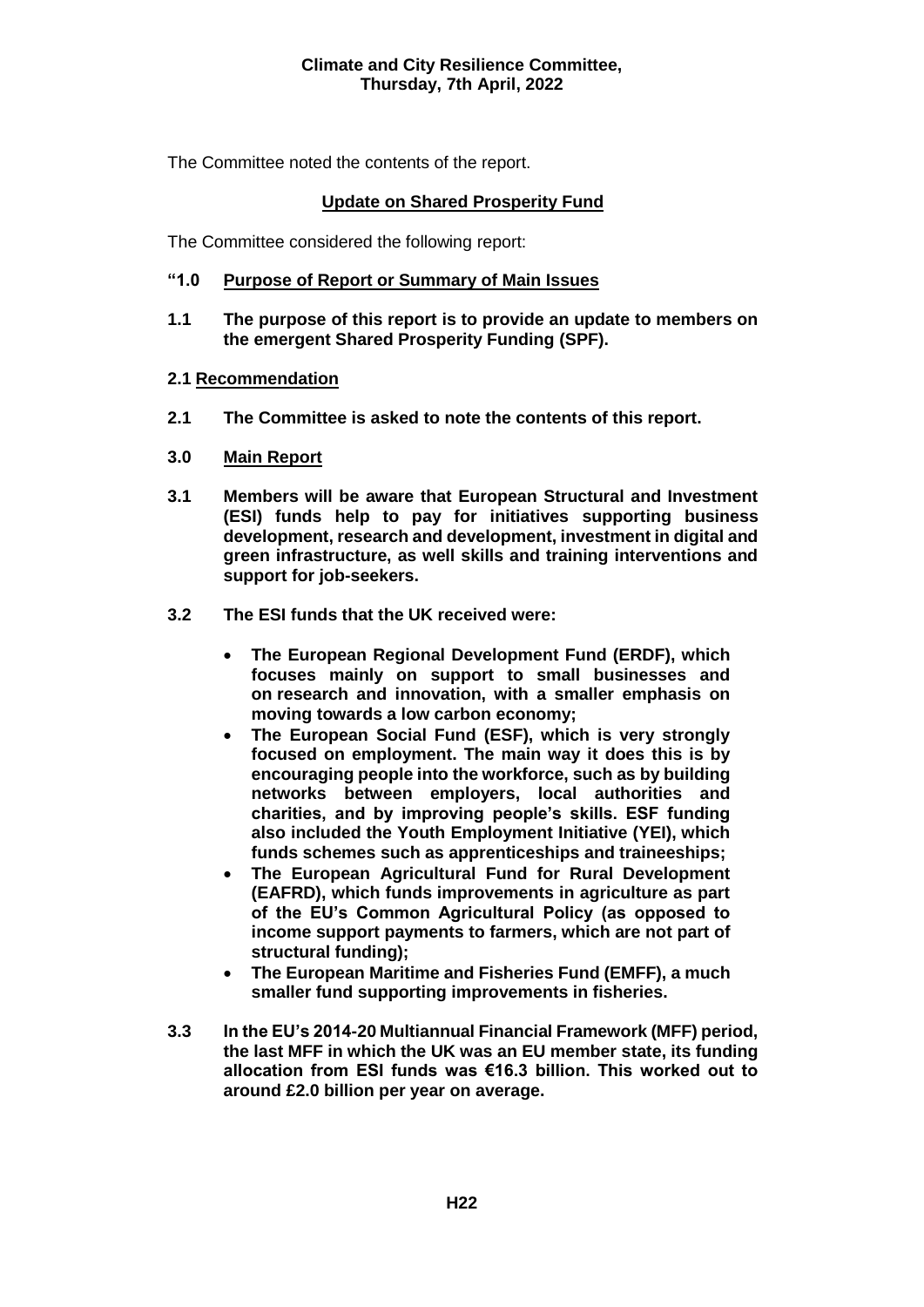## **Climate and City Resilience Committee, Thursday, 7th April, 2022**

The Committee noted the contents of the report.

## **Update on Shared Prosperity Fund**

The Committee considered the following report:

## **"1.0 Purpose of Report or Summary of Main Issues**

**1.1 The purpose of this report is to provide an update to members on the emergent Shared Prosperity Funding (SPF).**

#### **2.1 Recommendation**

- **2.1 The Committee is asked to note the contents of this report.**
- **3.0 Main Report**
- **3.1 Members will be aware that European Structural and Investment (ESI) funds help to pay for initiatives supporting business development, research and development, investment in digital and green infrastructure, as well skills and training interventions and support for job-seekers.**
- **3.2 The ESI funds that the UK received were:**
	- **The European Regional Development Fund (ERDF), which focuses mainly on support to small businesses and on research and innovation, with a smaller emphasis on moving towards a low carbon economy;**
	- **The European Social Fund (ESF), which is very strongly focused on employment. The main way it does this is by encouraging people into the workforce, such as by building networks between employers, local authorities and charities, and by improving people's skills. ESF funding also included the Youth Employment Initiative (YEI), which funds schemes such as apprenticeships and traineeships;**
	- **The European Agricultural Fund for Rural Development (EAFRD), which funds improvements in agriculture as part of the EU's Common Agricultural Policy (as opposed to income support payments to farmers, which are not part of structural funding);**
	- **The European Maritime and Fisheries Fund (EMFF), a much smaller fund supporting improvements in fisheries.**
- **3.3 In the EU's 2014-20 Multiannual Financial Framework (MFF) period, the last MFF in which the UK was an EU member state, its funding allocation from ESI funds was €16.3 billion. This worked out to around £2.0 billion per year on average.**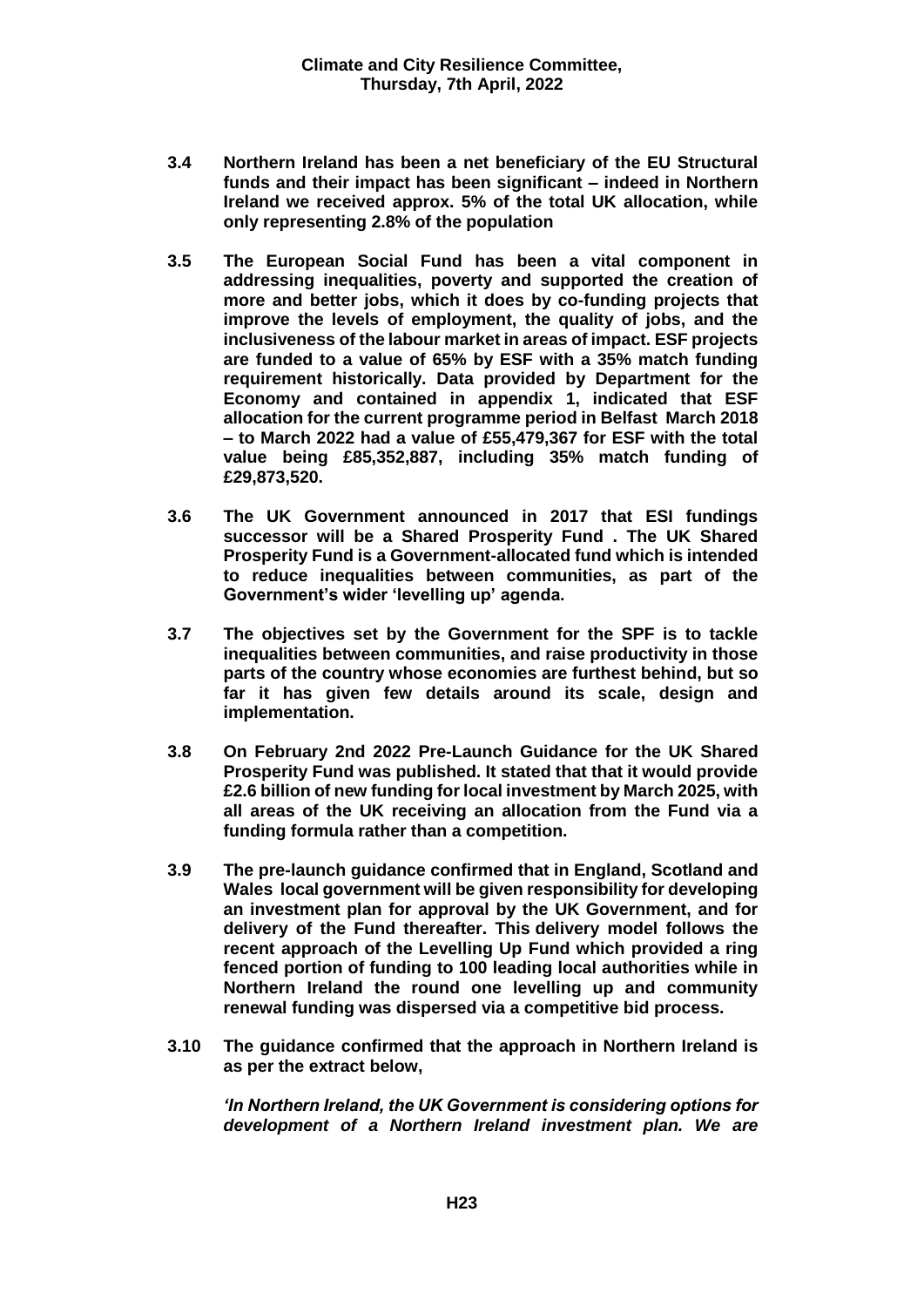- **3.4 Northern Ireland has been a net beneficiary of the EU Structural funds and their impact has been significant – indeed in Northern Ireland we received approx. 5% of the total UK allocation, while only representing 2.8% of the population**
- **3.5 The European Social Fund has been a vital component in addressing inequalities, poverty and supported the creation of more and better jobs, which it does by co-funding projects that improve the levels of employment, the quality of jobs, and the inclusiveness of the labour market in areas of impact. ESF projects are funded to a value of 65% by ESF with a 35% match funding requirement historically. Data provided by Department for the Economy and contained in appendix 1, indicated that ESF allocation for the current programme period in Belfast March 2018 – to March 2022 had a value of £55,479,367 for ESF with the total value being £85,352,887, including 35% match funding of £29,873,520.**
- **3.6 The UK Government announced in 2017 that ESI fundings successor will be a Shared Prosperity Fund . The UK Shared Prosperity Fund is a Government-allocated fund which is intended to reduce inequalities between communities, as part of the Government's wider 'levelling up' agenda.**
- **3.7 The objectives set by the Government for the SPF is to tackle inequalities between communities, and raise productivity in those parts of the country whose economies are furthest behind, but so far it has given few details around its scale, design and implementation.**
- **3.8 On February 2nd 2022 Pre-Launch Guidance for the UK Shared Prosperity Fund was published. It stated that that it would provide £2.6 billion of new funding for local investment by March 2025, with all areas of the UK receiving an allocation from the Fund via a funding formula rather than a competition.**
- **3.9 The pre-launch guidance confirmed that in England, Scotland and Wales local government will be given responsibility for developing an investment plan for approval by the UK Government, and for delivery of the Fund thereafter. This delivery model follows the recent approach of the Levelling Up Fund which provided a ring fenced portion of funding to 100 leading local authorities while in Northern Ireland the round one levelling up and community renewal funding was dispersed via a competitive bid process.**
- **3.10 The guidance confirmed that the approach in Northern Ireland is as per the extract below,**

*'In Northern Ireland, the UK Government is considering options for development of a Northern Ireland investment plan. We are*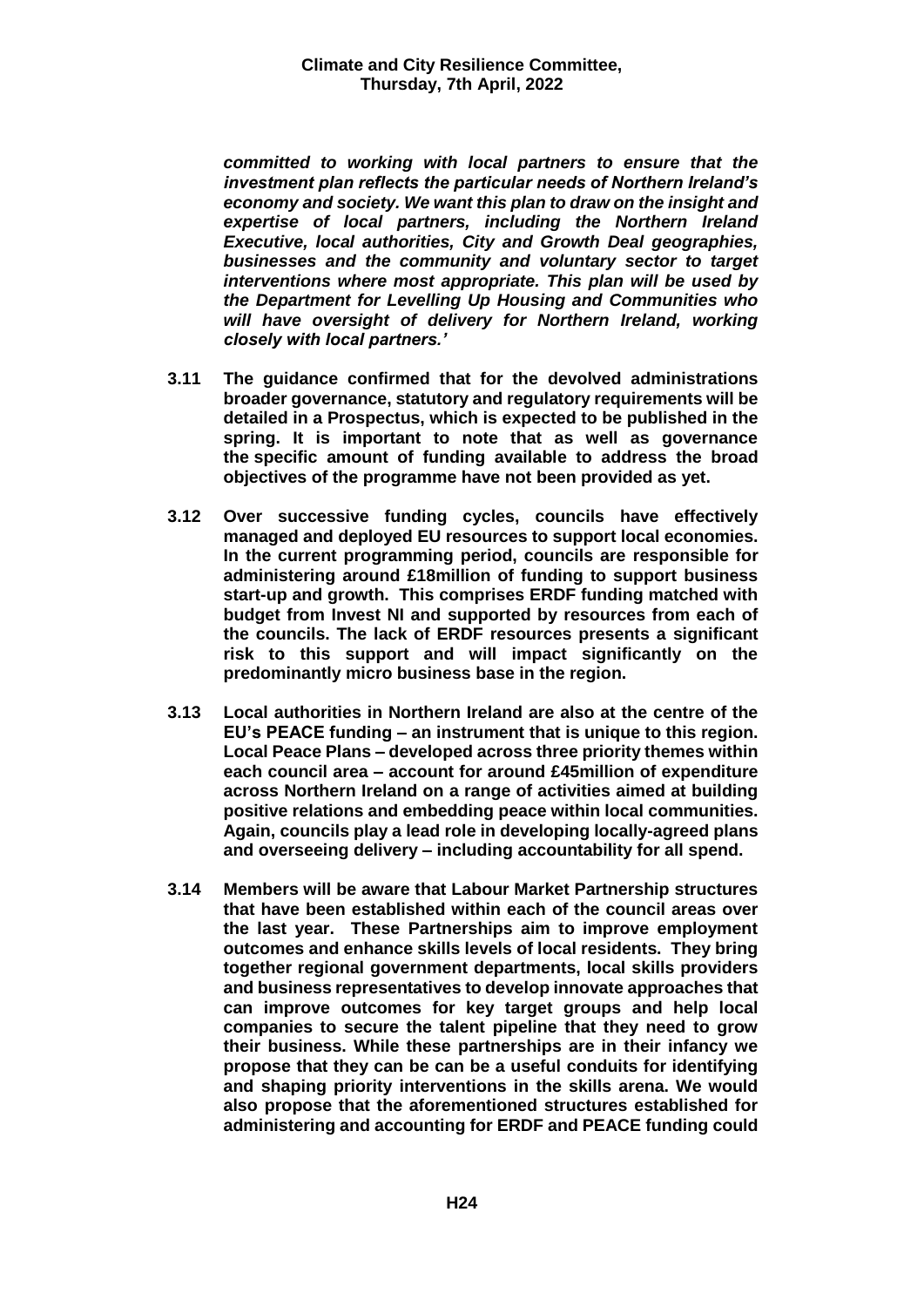*committed to working with local partners to ensure that the investment plan reflects the particular needs of Northern Ireland's economy and society. We want this plan to draw on the insight and expertise of local partners, including the Northern Ireland Executive, local authorities, City and Growth Deal geographies, businesses and the community and voluntary sector to target interventions where most appropriate. This plan will be used by the Department for Levelling Up Housing and Communities who will have oversight of delivery for Northern Ireland, working closely with local partners.'*

- **3.11 The guidance confirmed that for the devolved administrations broader governance, statutory and regulatory requirements will be detailed in a Prospectus, which is expected to be published in the spring. It is important to note that as well as governance the specific amount of funding available to address the broad objectives of the programme have not been provided as yet.**
- **3.12 Over successive funding cycles, councils have effectively managed and deployed EU resources to support local economies. In the current programming period, councils are responsible for administering around £18million of funding to support business start-up and growth. This comprises ERDF funding matched with budget from Invest NI and supported by resources from each of the councils. The lack of ERDF resources presents a significant risk to this support and will impact significantly on the predominantly micro business base in the region.**
- **3.13 Local authorities in Northern Ireland are also at the centre of the EU's PEACE funding – an instrument that is unique to this region. Local Peace Plans – developed across three priority themes within each council area – account for around £45million of expenditure across Northern Ireland on a range of activities aimed at building positive relations and embedding peace within local communities. Again, councils play a lead role in developing locally-agreed plans and overseeing delivery – including accountability for all spend.**
- **3.14 Members will be aware that Labour Market Partnership structures that have been established within each of the council areas over the last year. These Partnerships aim to improve employment outcomes and enhance skills levels of local residents. They bring together regional government departments, local skills providers and business representatives to develop innovate approaches that can improve outcomes for key target groups and help local companies to secure the talent pipeline that they need to grow their business. While these partnerships are in their infancy we propose that they can be can be a useful conduits for identifying and shaping priority interventions in the skills arena. We would also propose that the aforementioned structures established for administering and accounting for ERDF and PEACE funding could**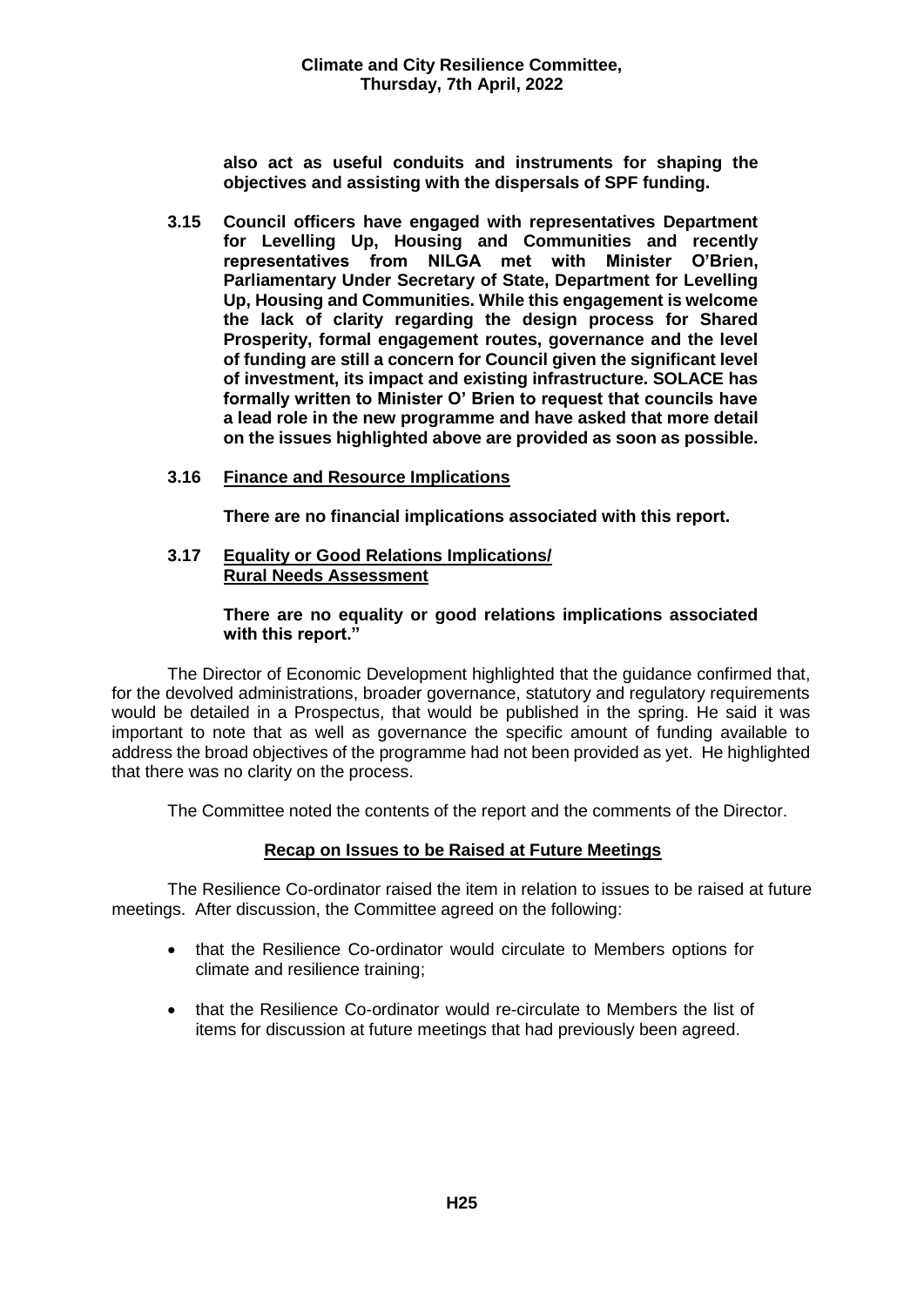**also act as useful conduits and instruments for shaping the objectives and assisting with the dispersals of SPF funding.** 

- **3.15 Council officers have engaged with representatives Department for Levelling Up, Housing and Communities and recently representatives from NILGA met with Minister O'Brien, Parliamentary Under Secretary of State, Department for Levelling Up, Housing and Communities. While this engagement is welcome the lack of clarity regarding the design process for Shared Prosperity, formal engagement routes, governance and the level of funding are still a concern for Council given the significant level of investment, its impact and existing infrastructure. SOLACE has formally written to Minister O' Brien to request that councils have a lead role in the new programme and have asked that more detail on the issues highlighted above are provided as soon as possible.**
- **3.16 Finance and Resource Implications**

**There are no financial implications associated with this report.**

**3.17 Equality or Good Relations Implications/ Rural Needs Assessment**

## **There are no equality or good relations implications associated with this report."**

The Director of Economic Development highlighted that the guidance confirmed that, for the devolved administrations, broader governance, statutory and regulatory requirements would be detailed in a Prospectus, that would be published in the spring. He said it was important to note that as well as governance the specific amount of funding available to address the broad objectives of the programme had not been provided as yet. He highlighted that there was no clarity on the process.

The Committee noted the contents of the report and the comments of the Director.

# **Recap on Issues to be Raised at Future Meetings**

The Resilience Co-ordinator raised the item in relation to issues to be raised at future meetings. After discussion, the Committee agreed on the following:

- that the Resilience Co-ordinator would circulate to Members options for climate and resilience training;
- that the Resilience Co-ordinator would re-circulate to Members the list of items for discussion at future meetings that had previously been agreed.